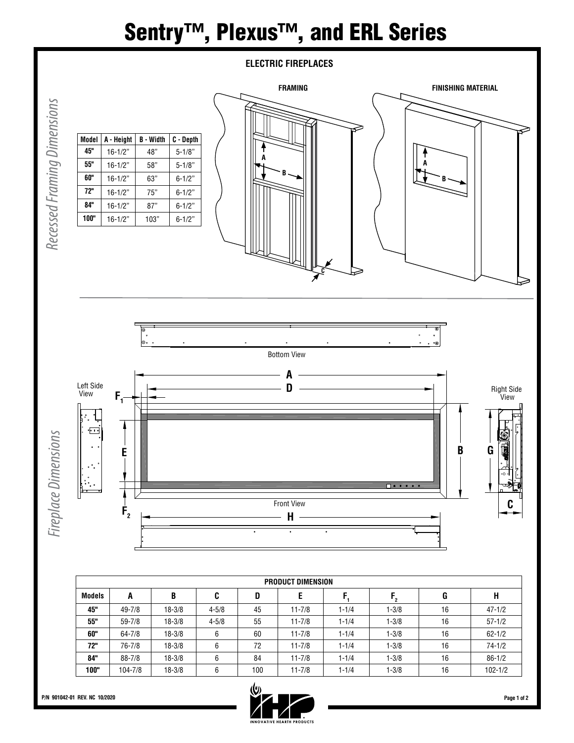## Sentry<sup>™</sup>, Plexus<sup>™</sup>, and ERL Series



| Model | A - Height  | <b>B</b> - Width | C - Depth  |
|-------|-------------|------------------|------------|
| 45"   | $16 - 1/2"$ | 48"              | $5 - 1/8"$ |
| 55"   | $16 - 1/2"$ | 58"              | $5 - 1/8"$ |
| 60"   | $16 - 1/2"$ | 63"              | $6 - 1/2"$ |
| 72"   | $16 - 1/2"$ | 75"              | $6 - 1/2"$ |
| 84"   | $16 - 1/2"$ | 87"              | $6 - 1/2"$ |
| 100"  | $16 - 1/2"$ | 103"             | $6 - 1/2"$ |





| PRODUCT DIMENSION |            |            |           |     |            |           |           |    |             |
|-------------------|------------|------------|-----------|-----|------------|-----------|-----------|----|-------------|
| <b>Models</b>     | A          | B          | C         | D   | E          |           | י.        | G  | Н           |
| 45"               | 49-7/8     | $18 - 3/8$ | $4 - 5/8$ | 45  | $11 - 7/8$ | $1 - 1/4$ | $1 - 3/8$ | 16 | $47 - 1/2$  |
| 55"               | $59 - 7/8$ | $18 - 3/8$ | $4 - 5/8$ | 55  | $11 - 7/8$ | $1 - 1/4$ | $1 - 3/8$ | 16 | $57 - 1/2$  |
| 60"               | $64 - 7/8$ | $18 - 3/8$ | 6         | 60  | $11 - 7/8$ | $1 - 1/4$ | $1 - 3/8$ | 16 | $62 - 1/2$  |
| 72"               | 76-7/8     | $18 - 3/8$ | 6         | 72  | $11 - 7/8$ | $1 - 1/4$ | $1 - 3/8$ | 16 | $74 - 1/2$  |
| 84"               | $88 - 7/8$ | $18 - 3/8$ | 6         | 84  | $11 - 7/8$ | $1 - 1/4$ | $1 - 3/8$ | 16 | $86 - 1/2$  |
| 100"              | 104-7/8    | $18 - 3/8$ | 6         | 100 | $11 - 7/8$ | $1 - 1/4$ | $1 - 3/8$ | 16 | $102 - 1/2$ |